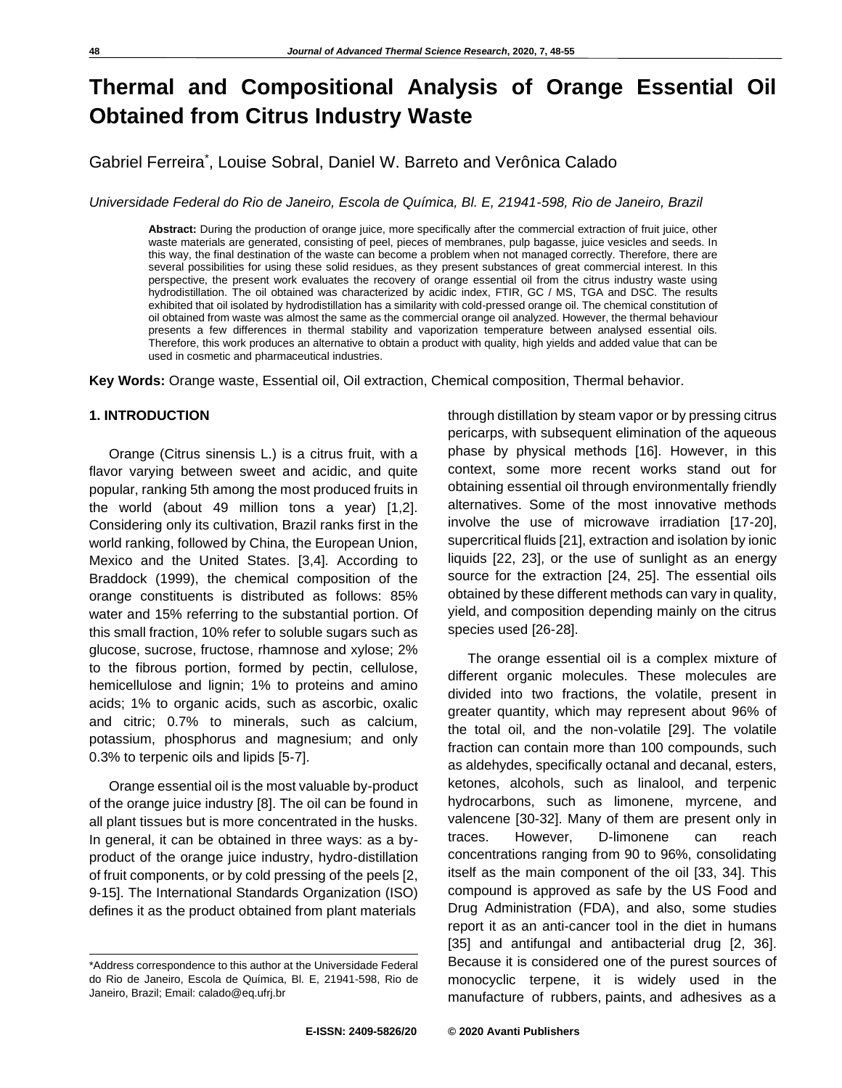# **Thermal and Compositional Analysis of Orange Essential Oil Obtained from Citrus Industry Waste**

Gabriel Ferreira\* , Louise Sobral, Daniel W. Barreto and Verônica Calado

*Universidade Federal do Rio de Janeiro, Escola de Química, Bl. E, 21941-598, Rio de Janeiro, Brazil*

**Abstract:** During the production of orange juice, more specifically after the commercial extraction of fruit juice, other waste materials are generated, consisting of peel, pieces of membranes, pulp bagasse, juice vesicles and seeds. In this way, the final destination of the waste can become a problem when not managed correctly. Therefore, there are several possibilities for using these solid residues, as they present substances of great commercial interest. In this perspective, the present work evaluates the recovery of orange essential oil from the citrus industry waste using hydrodistillation. The oil obtained was characterized by acidic index, FTIR, GC / MS, TGA and DSC. The results exhibited that oil isolated by hydrodistillation has a similarity with cold-pressed orange oil. The chemical constitution of oil obtained from waste was almost the same as the commercial orange oil analyzed. However, the thermal behaviour presents a few differences in thermal stability and vaporization temperature between analysed essential oils. Therefore, this work produces an alternative to obtain a product with quality, high yields and added value that can be used in cosmetic and pharmaceutical industries.

**Key Words:** Orange waste, Essential oil, Oil extraction, Chemical composition, Thermal behavior.

#### **1. INTRODUCTION**

Orange (Citrus sinensis L.) is a citrus fruit, with a flavor varying between sweet and acidic, and quite popular, ranking 5th among the most produced fruits in the world (about 49 million tons a year) [1,2]. Considering only its cultivation, Brazil ranks first in the world ranking, followed by China, the European Union, Mexico and the United States. [3,4]. According to Braddock (1999), the chemical composition of the orange constituents is distributed as follows: 85% water and 15% referring to the substantial portion. Of this small fraction, 10% refer to soluble sugars such as glucose, sucrose, fructose, rhamnose and xylose; 2% to the fibrous portion, formed by pectin, cellulose, hemicellulose and lignin; 1% to proteins and amino acids; 1% to organic acids, such as ascorbic, oxalic and citric; 0.7% to minerals, such as calcium, potassium, phosphorus and magnesium; and only 0.3% to terpenic oils and lipids [5-7].

Orange essential oil is the most valuable by-product of the orange juice industry [8]. The oil can be found in all plant tissues but is more concentrated in the husks. In general, it can be obtained in three ways: as a byproduct of the orange juice industry, hydro-distillation of fruit components, or by cold pressing of the peels [2, 9-15]. The International Standards Organization (ISO) defines it as the product obtained from plant materials

through distillation by steam vapor or by pressing citrus pericarps, with subsequent elimination of the aqueous phase by physical methods [16]. However, in this context, some more recent works stand out for obtaining essential oil through environmentally friendly alternatives. Some of the most innovative methods involve the use of microwave irradiation [17-20], supercritical fluids [21], extraction and isolation by ionic liquids [22, 23], or the use of sunlight as an energy source for the extraction [24, 25]. The essential oils obtained by these different methods can vary in quality, yield, and composition depending mainly on the citrus species used [26-28].

The orange essential oil is a complex mixture of different organic molecules. These molecules are divided into two fractions, the volatile, present in greater quantity, which may represent about 96% of the total oil, and the non-volatile [29]. The volatile fraction can contain more than 100 compounds, such as aldehydes, specifically octanal and decanal, esters, ketones, alcohols, such as linalool, and terpenic hydrocarbons, such as limonene, myrcene, and valencene [30-32]. Many of them are present only in traces. However, D-limonene can reach concentrations ranging from 90 to 96%, consolidating itself as the main component of the oil [33, 34]. This compound is approved as safe by the US Food and Drug Administration (FDA), and also, some studies report it as an anti-cancer tool in the diet in humans [35] and antifungal and antibacterial drug [2, 36]. Because it is considered one of the purest sources of monocyclic terpene, it is widely used in the manufacture of rubbers, paints, and adhesives as a

<sup>\*</sup>Address correspondence to this author at the Universidade Federal do Rio de Janeiro, Escola de Química, Bl. E, 21941-598, Rio de Janeiro, Brazil; Email: calado@eq.ufrj.br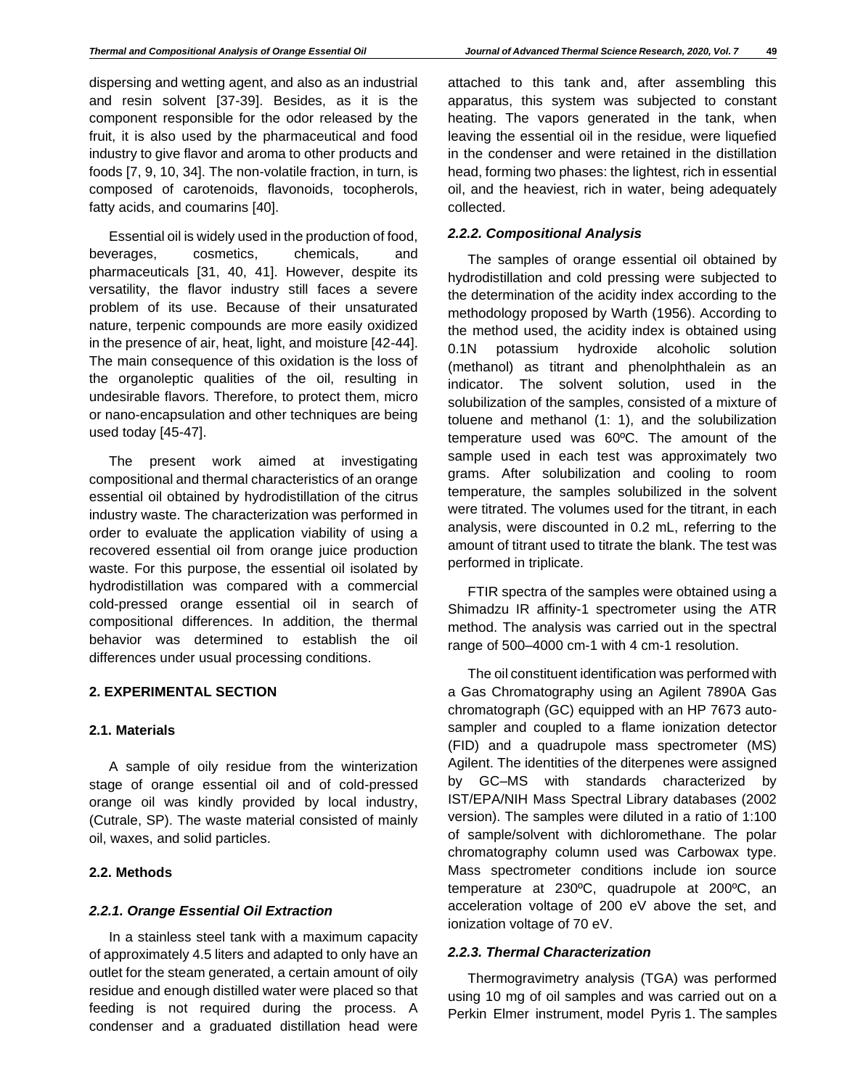dispersing and wetting agent, and also as an industrial and resin solvent [37-39]. Besides, as it is the component responsible for the odor released by the fruit, it is also used by the pharmaceutical and food industry to give flavor and aroma to other products and foods [7, 9, 10, 34]. The non-volatile fraction, in turn, is composed of carotenoids, flavonoids, tocopherols, fatty acids, and coumarins [40].

Essential oil is widely used in the production of food, beverages, cosmetics, chemicals, and pharmaceuticals [31, 40, 41]. However, despite its versatility, the flavor industry still faces a severe problem of its use. Because of their unsaturated nature, terpenic compounds are more easily oxidized in the presence of air, heat, light, and moisture [42-44]. The main consequence of this oxidation is the loss of the organoleptic qualities of the oil, resulting in undesirable flavors. Therefore, to protect them, micro or nano-encapsulation and other techniques are being used today [45-47].

The present work aimed at investigating compositional and thermal characteristics of an orange essential oil obtained by hydrodistillation of the citrus industry waste. The characterization was performed in order to evaluate the application viability of using a recovered essential oil from orange juice production waste. For this purpose, the essential oil isolated by hydrodistillation was compared with a commercial cold-pressed orange essential oil in search of compositional differences. In addition, the thermal behavior was determined to establish the oil differences under usual processing conditions.

## **2. EXPERIMENTAL SECTION**

## **2.1. Materials**

A sample of oily residue from the winterization stage of orange essential oil and of cold-pressed orange oil was kindly provided by local industry, (Cutrale, SP). The waste material consisted of mainly oil, waxes, and solid particles.

## **2.2. Methods**

## *2.2.1. Orange Essential Oil Extraction*

In a stainless steel tank with a maximum capacity of approximately 4.5 liters and adapted to only have an outlet for the steam generated, a certain amount of oily residue and enough distilled water were placed so that feeding is not required during the process. A condenser and a graduated distillation head were attached to this tank and, after assembling this apparatus, this system was subjected to constant heating. The vapors generated in the tank, when leaving the essential oil in the residue, were liquefied in the condenser and were retained in the distillation head, forming two phases: the lightest, rich in essential oil, and the heaviest, rich in water, being adequately collected.

# *2.2.2. Compositional Analysis*

The samples of orange essential oil obtained by hydrodistillation and cold pressing were subjected to the determination of the acidity index according to the methodology proposed by Warth (1956). According to the method used, the acidity index is obtained using 0.1N potassium hydroxide alcoholic solution (methanol) as titrant and phenolphthalein as an indicator. The solvent solution, used in the solubilization of the samples, consisted of a mixture of toluene and methanol (1: 1), and the solubilization temperature used was 60ºC. The amount of the sample used in each test was approximately two grams. After solubilization and cooling to room temperature, the samples solubilized in the solvent were titrated. The volumes used for the titrant, in each analysis, were discounted in 0.2 mL, referring to the amount of titrant used to titrate the blank. The test was performed in triplicate.

FTIR spectra of the samples were obtained using a Shimadzu IR affinity-1 spectrometer using the ATR method. The analysis was carried out in the spectral range of 500–4000 cm-1 with 4 cm-1 resolution.

The oil constituent identification was performed with a Gas Chromatography using an Agilent 7890A Gas chromatograph (GC) equipped with an HP 7673 autosampler and coupled to a flame ionization detector (FID) and a quadrupole mass spectrometer (MS) Agilent. The identities of the diterpenes were assigned by GC–MS with standards characterized by IST/EPA/NIH Mass Spectral Library databases (2002 version). The samples were diluted in a ratio of 1:100 of sample/solvent with dichloromethane. The polar chromatography column used was Carbowax type. Mass spectrometer conditions include ion source temperature at 230ºC, quadrupole at 200ºC, an acceleration voltage of 200 eV above the set, and ionization voltage of 70 eV.

## *2.2.3. Thermal Characterization*

Thermogravimetry analysis (TGA) was performed using 10 mg of oil samples and was carried out on a Perkin Elmer instrument, model Pyris 1. The samples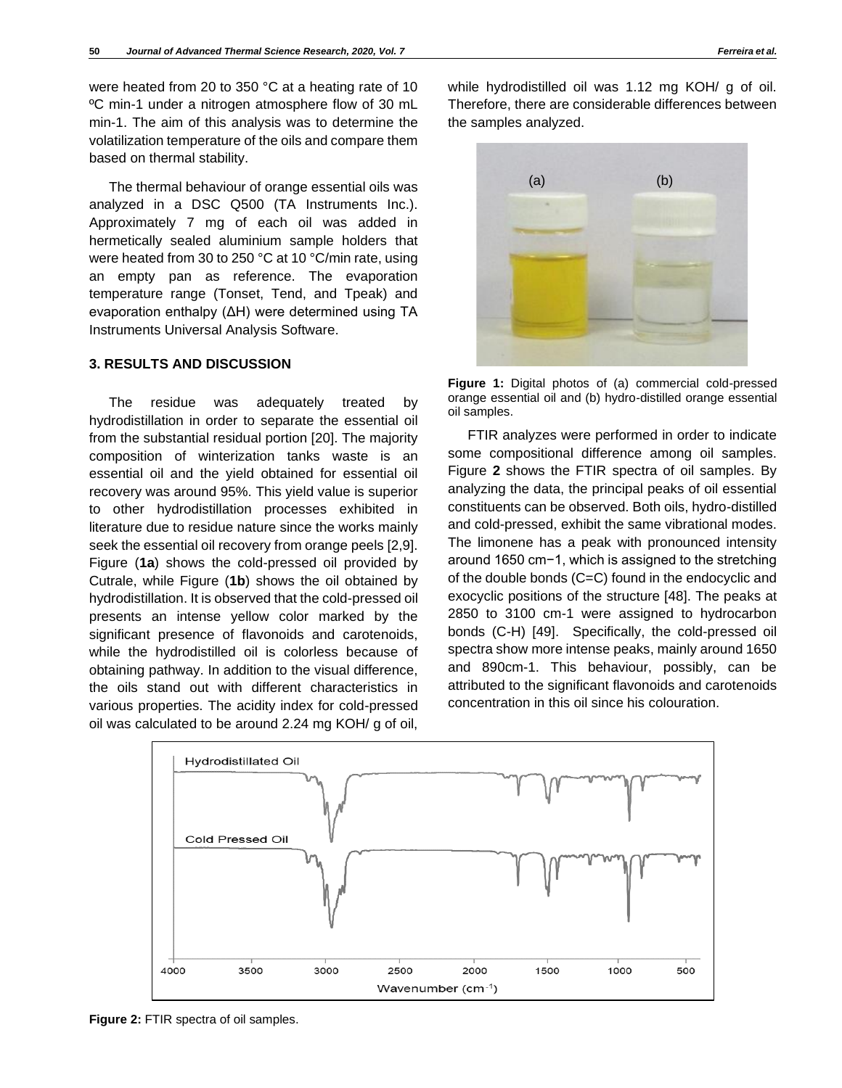were heated from 20 to 350 °C at a heating rate of 10 ºC min-1 under a nitrogen atmosphere flow of 30 mL min-1. The aim of this analysis was to determine the volatilization temperature of the oils and compare them based on thermal stability.

The thermal behaviour of orange essential oils was analyzed in a DSC Q500 (TA Instruments Inc.). Approximately 7 mg of each oil was added in hermetically sealed aluminium sample holders that were heated from 30 to 250 °C at 10 °C/min rate, using an empty pan as reference. The evaporation temperature range (Tonset, Tend, and Tpeak) and evaporation enthalpy (ΔH) were determined using TA Instruments Universal Analysis Software.

#### **3. RESULTS AND DISCUSSION**

The residue was adequately treated by hydrodistillation in order to separate the essential oil from the substantial residual portion [20]. The majority composition of winterization tanks waste is an essential oil and the yield obtained for essential oil recovery was around 95%. This yield value is superior to other hydrodistillation processes exhibited in literature due to residue nature since the works mainly seek the essential oil recovery from orange peels [2,9]. Figure (**1a**) shows the cold-pressed oil provided by Cutrale, while Figure (**1b**) shows the oil obtained by hydrodistillation. It is observed that the cold-pressed oil presents an intense yellow color marked by the significant presence of flavonoids and carotenoids, while the hydrodistilled oil is colorless because of obtaining pathway. In addition to the visual difference, the oils stand out with different characteristics in various properties. The acidity index for cold-pressed oil was calculated to be around 2.24 mg KOH/ g of oil,

while hydrodistilled oil was 1.12 mg KOH/ g of oil. Therefore, there are considerable differences between the samples analyzed.



**Figure 1:** Digital photos of (a) commercial cold-pressed orange essential oil and (b) hydro-distilled orange essential oil samples.

FTIR analyzes were performed in order to indicate some compositional difference among oil samples. Figure **2** shows the FTIR spectra of oil samples. By analyzing the data, the principal peaks of oil essential constituents can be observed. Both oils, hydro-distilled and cold-pressed, exhibit the same vibrational modes. The limonene has a peak with pronounced intensity around 1650 cm−1, which is assigned to the stretching of the double bonds (C=C) found in the endocyclic and exocyclic positions of the structure [48]. The peaks at 2850 to 3100 cm-1 were assigned to hydrocarbon bonds (C-H) [49]. Specifically, the cold-pressed oil spectra show more intense peaks, mainly around 1650 and 890cm-1. This behaviour, possibly, can be attributed to the significant flavonoids and carotenoids concentration in this oil since his colouration.



**Figure 2:** FTIR spectra of oil samples.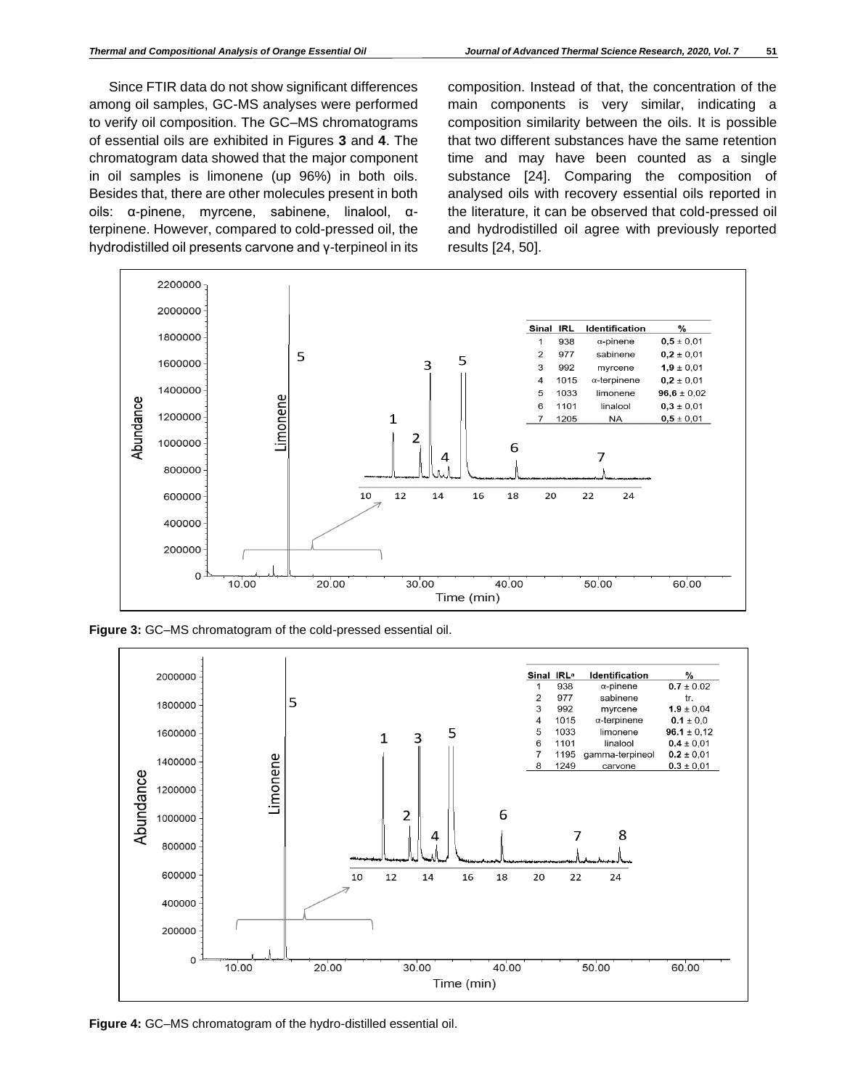Since FTIR data do not show significant differences among oil samples, GC-MS analyses were performed to verify oil composition. The GC–MS chromatograms of essential oils are exhibited in Figures **3** and **4**. The chromatogram data showed that the major component in oil samples is limonene (up 96%) in both oils. Besides that, there are other molecules present in both oils: α-pinene, myrcene, sabinene, linalool, αterpinene. However, compared to cold-pressed oil, the hydrodistilled oil presents carvone and γ-terpineol in its

composition. Instead of that, the concentration of the main components is very similar, indicating a composition similarity between the oils. It is possible that two different substances have the same retention time and may have been counted as a single substance [24]. Comparing the composition of analysed oils with recovery essential oils reported in the literature, it can be observed that cold-pressed oil and hydrodistilled oil agree with previously reported results [24, 50].



**Figure 3:** GC–MS chromatogram of the cold-pressed essential oil.



**Figure 4:** GC–MS chromatogram of the hydro-distilled essential oil.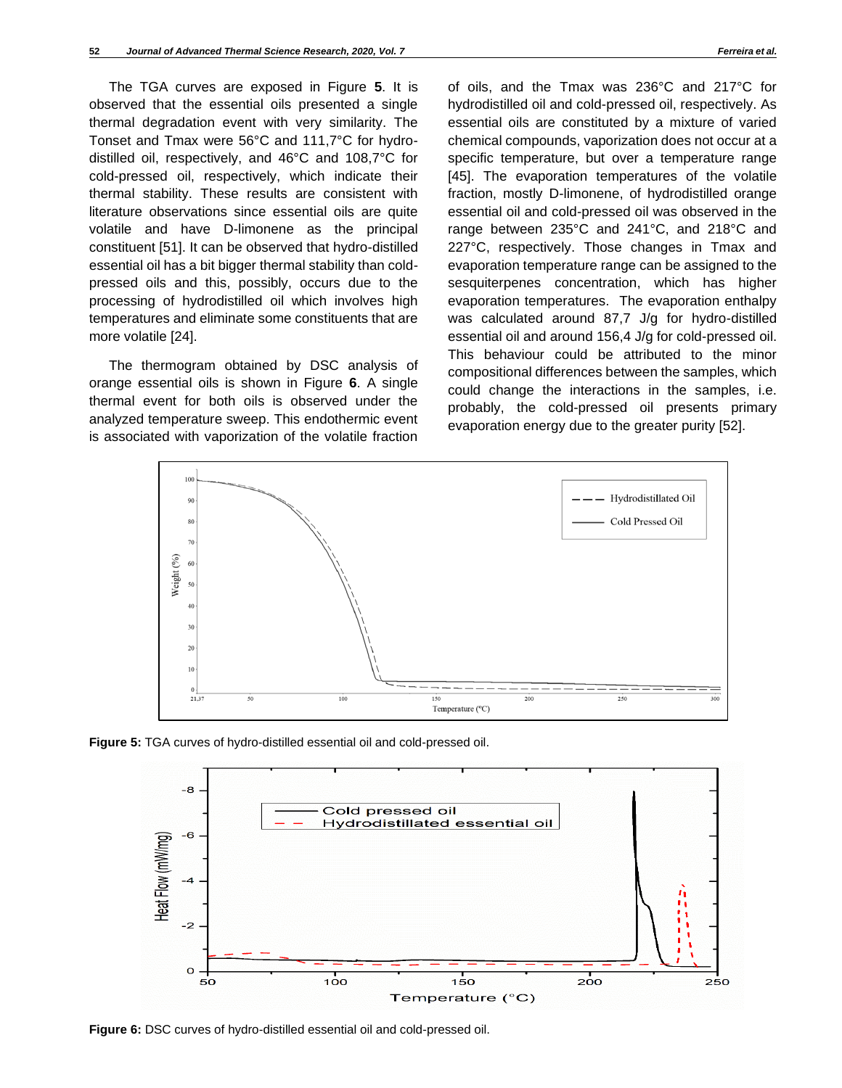The TGA curves are exposed in Figure **5**. It is observed that the essential oils presented a single thermal degradation event with very similarity. The Tonset and Tmax were 56°C and 111,7°C for hydrodistilled oil, respectively, and 46°C and 108,7°C for cold-pressed oil, respectively, which indicate their thermal stability. These results are consistent with literature observations since essential oils are quite volatile and have D-limonene as the principal constituent [51]. It can be observed that hydro-distilled essential oil has a bit bigger thermal stability than coldpressed oils and this, possibly, occurs due to the processing of hydrodistilled oil which involves high temperatures and eliminate some constituents that are more volatile [24].

The thermogram obtained by DSC analysis of orange essential oils is shown in Figure **6**. A single thermal event for both oils is observed under the analyzed temperature sweep. This endothermic event is associated with vaporization of the volatile fraction

of oils, and the Tmax was 236°C and 217°C for hydrodistilled oil and cold-pressed oil, respectively. As essential oils are constituted by a mixture of varied chemical compounds, vaporization does not occur at a specific temperature, but over a temperature range [45]. The evaporation temperatures of the volatile fraction, mostly D-limonene, of hydrodistilled orange essential oil and cold-pressed oil was observed in the range between 235°C and 241°C, and 218°C and 227°C, respectively. Those changes in Tmax and evaporation temperature range can be assigned to the sesquiterpenes concentration, which has higher evaporation temperatures. The evaporation enthalpy was calculated around 87,7 J/g for hydro-distilled essential oil and around 156,4 J/g for cold-pressed oil. This behaviour could be attributed to the minor compositional differences between the samples, which could change the interactions in the samples, i.e. probably, the cold-pressed oil presents primary evaporation energy due to the greater purity [52].



**Figure 5:** TGA curves of hydro-distilled essential oil and cold-pressed oil.



**Figure 6:** DSC curves of hydro-distilled essential oil and cold-pressed oil.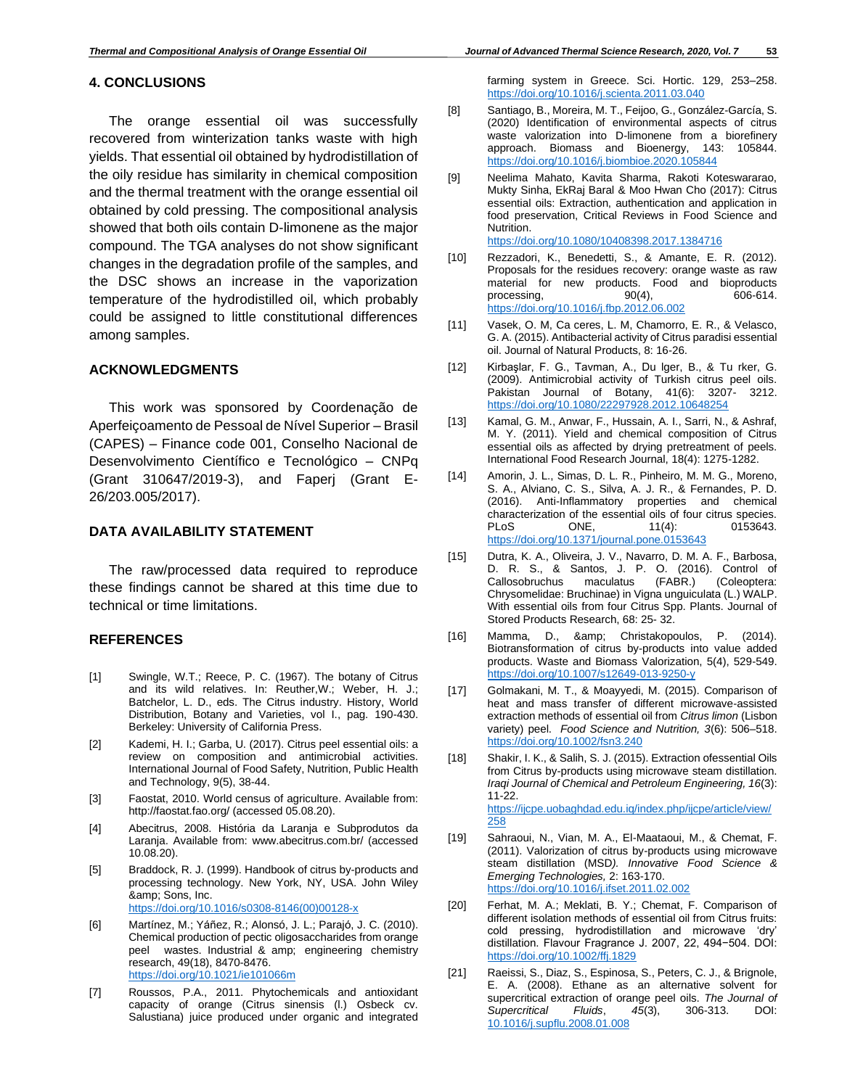# **4. CONCLUSIONS**

The orange essential oil was successfully recovered from winterization tanks waste with high yields. That essential oil obtained by hydrodistillation of the oily residue has similarity in chemical composition and the thermal treatment with the orange essential oil obtained by cold pressing. The compositional analysis showed that both oils contain D-limonene as the major compound. The TGA analyses do not show significant changes in the degradation profile of the samples, and the DSC shows an increase in the vaporization temperature of the hydrodistilled oil, which probably could be assigned to little constitutional differences among samples.

## **ACKNOWLEDGMENTS**

This work was sponsored by Coordenação de Aperfeiçoamento de Pessoal de Nível Superior – Brasil (CAPES) – Finance code 001, Conselho Nacional de Desenvolvimento Científico e Tecnológico – CNPq (Grant 310647/2019-3), and Faperj (Grant E-26/203.005/2017).

#### **DATA AVAILABILITY STATEMENT**

The raw/processed data required to reproduce these findings cannot be shared at this time due to technical or time limitations.

#### **REFERENCES**

- [1] Swingle, W.T.; Reece, P. C. (1967). The botany of Citrus and its wild relatives. In: Reuther,W.; Weber, H. J.; Batchelor, L. D., eds. The Citrus industry. History, World Distribution, Botany and Varieties, vol I., pag. 190-430. Berkeley: University of California Press.
- [2] Kademi, H. I.; Garba, U. (2017). Citrus peel essential oils: a review on composition and antimicrobial activities. International Journal of Food Safety, Nutrition, Public Health and Technology, 9(5), 38-44.
- [3] Faostat, 2010. World census of agriculture. Available from: http://faostat.fao.org/ (accessed 05.08.20).
- [4] Abecitrus, 2008. História da Laranja e Subprodutos da Laranja. Available from: www.abecitrus.com.br/ (accessed 10.08.20).
- [5] Braddock, R. J. (1999). Handbook of citrus by-products and processing technology. New York, NY, USA. John Wiley & amp; Sons, Inc. [https://doi.org/10.1016/s0308-8146\(00\)00128-x](https://doi.org/10.1016/s0308-8146(00)00128-x)
- [6] Martínez, M.; Yáñez, R.; Alonsó, J. L.; Parajó, J. C. (2010). Chemical production of pectic oligosaccharides from orange peel wastes. Industrial & amp; engineering chemistry research, 49(18), 8470-8476. <https://doi.org/10.1021/ie101066m>
- [7] Roussos, P.A., 2011. Phytochemicals and antioxidant capacity of orange (Citrus sinensis (l.) Osbeck cv. Salustiana) juice produced under organic and integrated

farming system in Greece. Sci. Hortic. 129, 253–258. <https://doi.org/10.1016/j.scienta.2011.03.040>

- [8] Santiago, B., Moreira, M. T., Feijoo, G., González-García, S. (2020) Identification of environmental aspects of citrus waste valorization into D-limonene from a biorefinery approach. Biomass and Bioenergy, 143: 105844. <https://doi.org/10.1016/j.biombioe.2020.105844>
- [9] Neelima Mahato, Kavita Sharma, Rakoti Koteswararao, Mukty Sinha, EkRaj Baral & Moo Hwan Cho (2017): Citrus essential oils: Extraction, authentication and application in food preservation, Critical Reviews in Food Science and Nutrition. <https://doi.org/10.1080/10408398.2017.1384716>
- [10] Rezzadori, K., Benedetti, S., & Amante, E. R. (2012). Proposals for the residues recovery: orange waste as raw material for new products. Food and bioproducts processing, 90(4), 606-614. <https://doi.org/10.1016/j.fbp.2012.06.002>
- [11] Vasek, O. M, Ca ceres, L. M, Chamorro, E. R., & Velasco, G. A. (2015). Antibacterial activity of Citrus paradisi essential oil. Journal of Natural Products, 8: 16-26.
- [12] Kirbaşlar, F. G., Tavman, A., Du lger, B., & Tu rker, G. (2009). Antimicrobial activity of Turkish citrus peel oils. Pakistan Journal of Botany, 41(6): 3207- 3212. <https://doi.org/10.1080/22297928.2012.10648254>
- [13] Kamal, G. M., Anwar, F., Hussain, A. I., Sarri, N., & Ashraf, M. Y. (2011). Yield and chemical composition of Citrus essential oils as affected by drying pretreatment of peels. International Food Research Journal, 18(4): 1275-1282.
- [14] Amorin, J. L., Simas, D. L. R., Pinheiro, M. M. G., Moreno, S. A., Alviano, C. S., Silva, A. J. R., & Fernandes, P. D. (2016). Anti-Inflammatory properties and chemical characterization of the essential oils of four citrus species. PLoS ONE. 11(4): 0153643. <https://doi.org/10.1371/journal.pone.0153643>
- [15] Dutra, K. A., Oliveira, J. V., Navarro, D. M. A. F., Barbosa, D. R. S., & Santos, J. P. O. (2016). Control of Callosobruchus maculatus (FABR.) (Coleoptera: Chrysomelidae: Bruchinae) in Vigna unguiculata (L.) WALP. With essential oils from four Citrus Spp. Plants. Journal of Stored Products Research, 68: 25- 32.
- [16] Mamma, D., & amp; Christakopoulos, P. (2014). Biotransformation of citrus by-products into value added products. Waste and Biomass Valorization, 5(4), 529-549. <https://doi.org/10.1007/s12649-013-9250-y>
- [17] Golmakani, M. T., & Moayyedi, M. (2015). Comparison of heat and mass transfer of different microwave-assisted extraction methods of essential oil from *Citrus limon* (Lisbon variety) peel. *Food Science and Nutrition, 3*(6): 506–518. <https://doi.org/10.1002/fsn3.240>
- [18] Shakir, I. K., & Salih, S. J. (2015). Extraction ofessential Oils from Citrus by-products using microwave steam distillation. *Iraqi Journal of Chemical and Petroleum Engineering, 16*(3): 11-22. [https://ijcpe.uobaghdad.edu.iq/index.php/ijcpe/article/view/](https://ijcpe.uobaghdad.edu.iq/index.php/ijcpe/article/view/258) [258](https://ijcpe.uobaghdad.edu.iq/index.php/ijcpe/article/view/258)
- [19] Sahraoui, N., Vian, M. A., El-Maataoui, M., & Chemat, F. (2011). Valorization of citrus by-products using microwave steam distillation (MSD*). Innovative Food Science & Emerging Technologies,* 2: 163-170. <https://doi.org/10.1016/j.ifset.2011.02.002>
- [20] Ferhat, M. A.; Meklati, B. Y.; Chemat, F. Comparison of different isolation methods of essential oil from Citrus fruits: cold pressing, hydrodistillation and microwave 'dry' distillation. Flavour Fragrance J. 2007, 22, 494−504. DOI: <https://doi.org/10.1002/ffj.1829>
- [21] Raeissi, S., Diaz, S., Espinosa, S., Peters, C. J., & Brignole, E. A. (2008). Ethane as an alternative solvent for supercritical extraction of orange peel oils. *The Journal of Supercritical Fluids*, *45*(3), 306-313. DOI: [10.1016/j.supflu.2008.01.008](https://www.researchgate.net/deref/http%3A%2F%2Fdx.doi.org%2F10.1016%2Fj.supflu.2008.01.008?_sg%5B0%5D=71q-ZYIhyY9J06Pzj6yYi8MlpTk_RfJlN17hs4wiZqH_G_zSU8zOBF9lFB4n43xpHtxAU3bI4VhJAn1eG9Wq5anGHA.3L6EwrmcFLehbs_8F_XyVLNNlEx87PbQ74Q241Zq0ysZq-lTzedlpe-7WbRyr6C9uXcQqErDGpwvHMPhL6FfoA)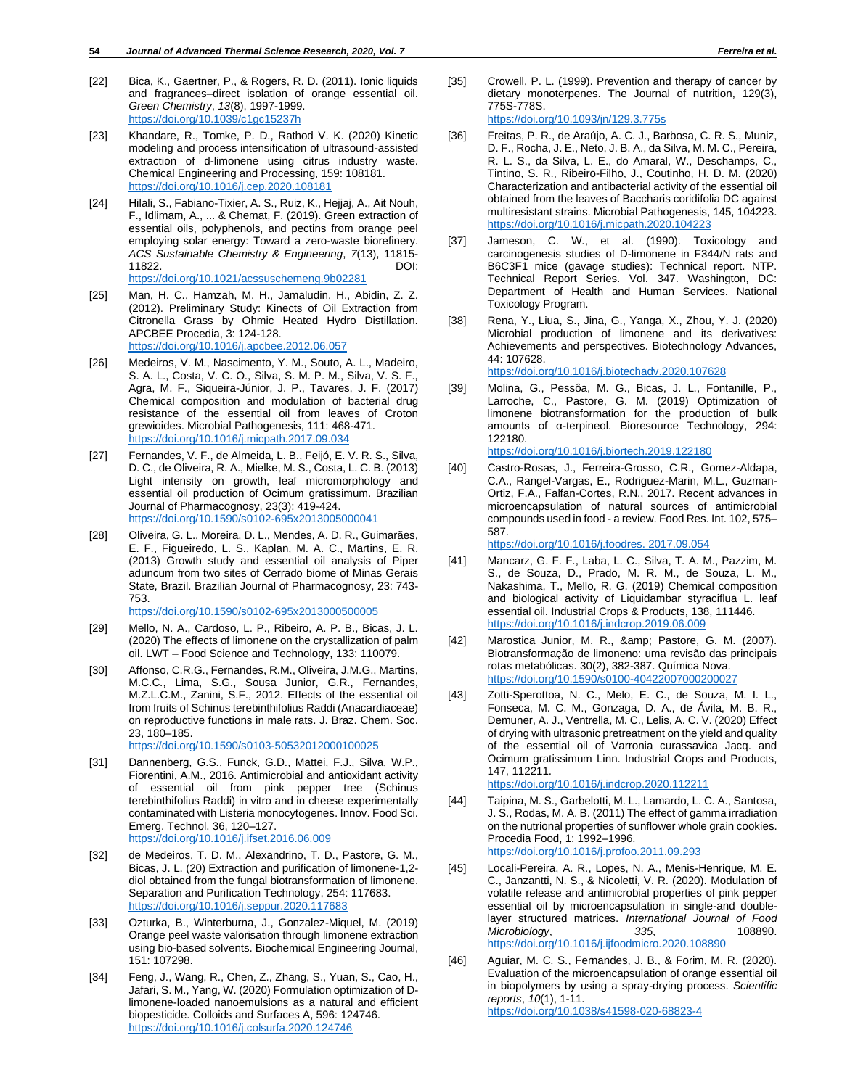- [22] Bica, K., Gaertner, P., & Rogers, R. D. (2011). Ionic liquids and fragrances–direct isolation of orange essential oil. *Green Chemistry*, *13*(8), 1997-1999. <https://doi.org/10.1039/c1gc15237h>
- [23] Khandare, R., Tomke, P. D., Rathod V. K. (2020) Kinetic modeling and process intensification of ultrasound-assisted extraction of d-limonene using citrus industry waste. Chemical Engineering and Processing, 159: 108181. <https://doi.org/10.1016/j.cep.2020.108181>
- [24] Hilali, S., Fabiano-Tixier, A. S., Ruiz, K., Hejjaj, A., Ait Nouh, F., Idlimam, A., ... & Chemat, F. (2019). Green extraction of essential oils, polyphenols, and pectins from orange peel employing solar energy: Toward a zero-waste biorefinery. *ACS Sustainable Chemistry & Engineering*, *7*(13), 11815- 11822. DOI: <https://doi.org/10.1021/acssuschemeng.9b02281>
- [25] Man, H. C., Hamzah, M. H., Jamaludin, H., Abidin, Z. Z. (2012). Preliminary Study: Kinects of Oil Extraction from Citronella Grass by Ohmic Heated Hydro Distillation. APCBEE Procedia, 3: 124-128. <https://doi.org/10.1016/j.apcbee.2012.06.057>
- [26] Medeiros, V. M., Nascimento, Y. M., Souto, A. L., Madeiro, S. A. L., Costa, V. C. O., Silva, S. M. P. M., Silva, V. S. F., Agra, M. F., Siqueira-Júnior, J. P., Tavares, J. F. (2017) Chemical composition and modulation of bacterial drug resistance of the essential oil from leaves of Croton grewioides. Microbial Pathogenesis, 111: 468-471. <https://doi.org/10.1016/j.micpath.2017.09.034>
- [27] Fernandes, V. F., de Almeida, L. B., Feijó, E. V. R. S., Silva, D. C., de Oliveira, R. A., Mielke, M. S., Costa, L. C. B. (2013) Light intensity on growth, leaf micromorphology and essential oil production of Ocimum gratissimum. Brazilian Journal of Pharmacognosy, 23(3): 419-424. <https://doi.org/10.1590/s0102-695x2013005000041>
- [28] Oliveira, G. L., Moreira, D. L., Mendes, A. D. R., Guimarães, E. F., Figueiredo, L. S., Kaplan, M. A. C., Martins, E. R. (2013) Growth study and essential oil analysis of Piper aduncum from two sites of Cerrado biome of Minas Gerais State, Brazil. Brazilian Journal of Pharmacognosy, 23: 743- 753.
	- <https://doi.org/10.1590/s0102-695x2013000500005>
- [29] Mello, N. A., Cardoso, L. P., Ribeiro, A. P. B., Bicas, J. L. (2020) The effects of limonene on the crystallization of palm oil. LWT – Food Science and Technology, 133: 110079.
- [30] Affonso, C.R.G., Fernandes, R.M., Oliveira, J.M.G., Martins, M.C.C., Lima, S.G., Sousa Junior, G.R., Fernandes, M.Z.L.C.M., Zanini, S.F., 2012. Effects of the essential oil from fruits of Schinus terebinthifolius Raddi (Anacardiaceae) on reproductive functions in male rats. J. Braz. Chem. Soc. 23, 180–185.

<https://doi.org/10.1590/s0103-50532012000100025>

- [31] Dannenberg, G.S., Funck, G.D., Mattei, F.J., Silva, W.P., Fiorentini, A.M., 2016. Antimicrobial and antioxidant activity of essential oil from pink pepper tree (Schinus terebinthifolius Raddi) in vitro and in cheese experimentally contaminated with Listeria monocytogenes. Innov. Food Sci. Emerg. Technol. 36, 120–127. <https://doi.org/10.1016/j.ifset.2016.06.009>
- [32] de Medeiros, T. D. M., Alexandrino, T. D., Pastore, G. M., Bicas, J. L. (20) Extraction and purification of limonene-1,2 diol obtained from the fungal biotransformation of limonene. Separation and Purification Technology, 254: 117683. <https://doi.org/10.1016/j.seppur.2020.117683>
- [33] Ozturka, B., Winterburna, J., Gonzalez-Miquel, M. (2019) Orange peel waste valorisation through limonene extraction using bio-based solvents. Biochemical Engineering Journal, 151: 107298.
- [34] Feng, J., Wang, R., Chen, Z., Zhang, S., Yuan, S., Cao, H., Jafari, S. M., Yang, W. (2020) Formulation optimization of Dlimonene-loaded nanoemulsions as a natural and efficient biopesticide. Colloids and Surfaces A, 596: 124746. <https://doi.org/10.1016/j.colsurfa.2020.124746>
- [35] Crowell, P. L. (1999). Prevention and therapy of cancer by dietary monoterpenes. The Journal of nutrition, 129(3), 775S-778S. <https://doi.org/10.1093/jn/129.3.775s>
- [36] Freitas, P. R., de Araújo, A. C. J., Barbosa, C. R. S., Muniz, D. F., Rocha, J. E., Neto, J. B. A., da Silva, M. M. C., Pereira, R. L. S., da Silva, L. E., do Amaral, W., Deschamps, C., Tintino, S. R., Ribeiro-Filho, J., Coutinho, H. D. M. (2020) Characterization and antibacterial activity of the essential oil obtained from the leaves of Baccharis coridifolia DC against multiresistant strains. Microbial Pathogenesis, 145, 104223. <https://doi.org/10.1016/j.micpath.2020.104223>
- [37] Jameson, C. W., et al. (1990). Toxicology and carcinogenesis studies of D-limonene in F344/N rats and B6C3F1 mice (gavage studies): Technical report. NTP. Technical Report Series. Vol. 347. Washington, DC: Department of Health and Human Services. National Toxicology Program.
- [38] Rena, Y., Liua, S., Jina, G., Yanga, X., Zhou, Y. J. (2020) Microbial production of limonene and its derivatives: Achievements and perspectives. Biotechnology Advances, 44: 107628. <https://doi.org/10.1016/j.biotechadv.2020.107628>

- [39] Molina, G., Pessôa, M. G., Bicas, J. L., Fontanille, P., Larroche, C., Pastore, G. M. (2019) Optimization of limonene biotransformation for the production of bulk amounts of α-terpineol. Bioresource Technology, 294: 122180. <https://doi.org/10.1016/j.biortech.2019.122180>
- [40] Castro-Rosas, J., Ferreira-Grosso, C.R., Gomez-Aldapa, C.A., Rangel-Vargas, E., Rodriguez-Marin, M.L., Guzman-Ortiz, F.A., Falfan-Cortes, R.N., 2017. Recent advances in microencapsulation of natural sources of antimicrobial compounds used in food - a review. Food Res. Int. 102, 575– 587.

[https://doi.org/10.1016/j.foodres. 2017.09.054](https://doi.org/10.1016/j.foodres.%202017.09.054)

- [41] Mancarz, G. F. F., Laba, L. C., Silva, T. A. M., Pazzim, M. S., de Souza, D., Prado, M. R. M., de Souza, L. M., Nakashima, T., Mello, R. G. (2019) Chemical composition and biological activity of Liquidambar styraciflua L. leaf essential oil. Industrial Crops & Products, 138, 111446. <https://doi.org/10.1016/j.indcrop.2019.06.009>
- [42] Marostica Junior, M. R., & amp; Pastore, G. M. (2007). Biotransformação de limoneno: uma revisão das principais rotas metabólicas. 30(2), 382-387. Química Nova. <https://doi.org/10.1590/s0100-40422007000200027>
- [43] Zotti-Sperottoa, N. C., Melo, E. C., de Souza, M. I. L., Fonseca, M. C. M., Gonzaga, D. A., de Ávila, M. B. R., Demuner, A. J., Ventrella, M. C., Lelis, A. C. V. (2020) Effect of drying with ultrasonic pretreatment on the yield and quality of the essential oil of Varronia curassavica Jacq. and Ocimum gratissimum Linn. Industrial Crops and Products, 147, 112211. <https://doi.org/10.1016/j.indcrop.2020.112211>
- [44] Taipina, M. S., Garbelotti, M. L., Lamardo, L. C. A., Santosa, J. S., Rodas, M. A. B. (2011) The effect of gamma irradiation on the nutrional properties of sunflower whole grain cookies. Procedia Food, 1: 1992–1996. <https://doi.org/10.1016/j.profoo.2011.09.293>
- [45] Locali-Pereira, A. R., Lopes, N. A., Menis-Henrique, M. E. C., Janzantti, N. S., & Nicoletti, V. R. (2020). Modulation of volatile release and antimicrobial properties of pink pepper essential oil by microencapsulation in single-and doublelayer structured matrices. *International Journal of Food Microbiology*, *335*, 108890. <https://doi.org/10.1016/j.ijfoodmicro.2020.108890>
- [46] Aguiar, M. C. S., Fernandes, J. B., & Forim, M. R. (2020). Evaluation of the microencapsulation of orange essential oil in biopolymers by using a spray-drying process. *Scientific reports*, *10*(1), 1-11. <https://doi.org/10.1038/s41598-020-68823-4>